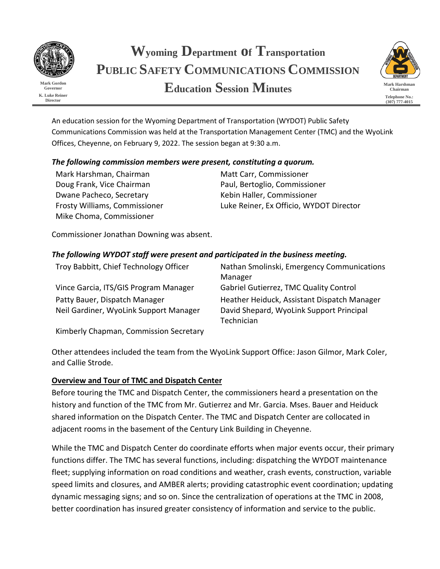

 **Director**



An education session for the Wyoming Department of Transportation (WYDOT) Public Safety Communications Commission was held at the Transportation Management Center (TMC) and the WyoLink Offices, Cheyenne, on February 9, 2022. The session began at 9:30 a.m.

## *The following commission members were present, constituting a quorum.*

Mark Harshman, Chairman Matt Carr, Commissioner Doug Frank, Vice Chairman **Paul, Bertoglio, Commissioner** Dwane Pacheco, Secretary **Kebin Haller**, Commissioner Mike Choma, Commissioner

Frosty Williams, Commissioner Luke Reiner, Ex Officio, WYDOT Director

Commissioner Jonathan Downing was absent.

## *The following WYDOT staff were present and participated in the business meeting.*

| Troy Babbitt, Chief Technology Officer                                  | Nathan Smolinski, Emergency Communications<br>Manager                                                 |
|-------------------------------------------------------------------------|-------------------------------------------------------------------------------------------------------|
| Vince Garcia, ITS/GIS Program Manager                                   | Gabriel Gutierrez, TMC Quality Control                                                                |
| Patty Bauer, Dispatch Manager<br>Neil Gardiner, WyoLink Support Manager | Heather Heiduck, Assistant Dispatch Manager<br>David Shepard, WyoLink Support Principal<br>Technician |

Kimberly Chapman, Commission Secretary

Other attendees included the team from the WyoLink Support Office: Jason Gilmor, Mark Coler, and Callie Strode.

## **Overview and Tour of TMC and Dispatch Center**

Before touring the TMC and Dispatch Center, the commissioners heard a presentation on the history and function of the TMC from Mr. Gutierrez and Mr. Garcia. Mses. Bauer and Heiduck shared information on the Dispatch Center. The TMC and Dispatch Center are collocated in adjacent rooms in the basement of the Century Link Building in Cheyenne.

While the TMC and Dispatch Center do coordinate efforts when major events occur, their primary functions differ. The TMC has several functions, including: dispatching the WYDOT maintenance fleet; supplying information on road conditions and weather, crash events, construction, variable speed limits and closures, and AMBER alerts; providing catastrophic event coordination; updating dynamic messaging signs; and so on. Since the centralization of operations at the TMC in 2008, better coordination has insured greater consistency of information and service to the public.